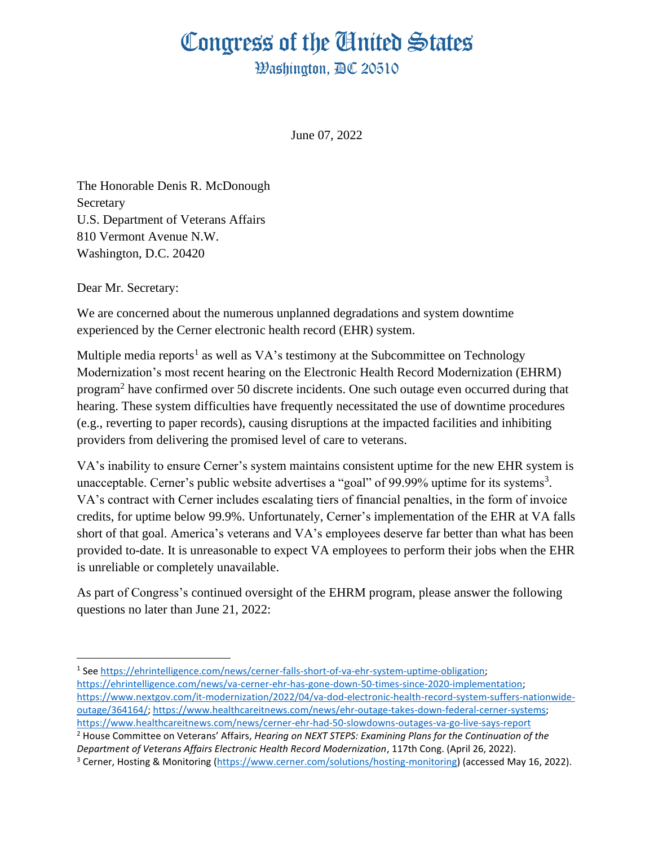# Congress of the Ginited States

**Washington, AC 20510** 

June 07, 2022

The Honorable Denis R. McDonough Secretary U.S. Department of Veterans Affairs 810 Vermont Avenue N.W. Washington, D.C. 20420

Dear Mr. Secretary:

We are concerned about the numerous unplanned degradations and system downtime experienced by the Cerner electronic health record (EHR) system.

Multiple media reports<sup>1</sup> as well as VA's testimony at the Subcommittee on Technology Modernization's most recent hearing on the Electronic Health Record Modernization (EHRM) program<sup>2</sup> have confirmed over 50 discrete incidents. One such outage even occurred during that hearing. These system difficulties have frequently necessitated the use of downtime procedures (e.g., reverting to paper records), causing disruptions at the impacted facilities and inhibiting providers from delivering the promised level of care to veterans.

VA's inability to ensure Cerner's system maintains consistent uptime for the new EHR system is unacceptable. Cerner's public website advertises a "goal" of 99.99% uptime for its systems<sup>3</sup>. VA's contract with Cerner includes escalating tiers of financial penalties, in the form of invoice credits, for uptime below 99.9%. Unfortunately, Cerner's implementation of the EHR at VA falls short of that goal. America's veterans and VA's employees deserve far better than what has been provided to-date. It is unreasonable to expect VA employees to perform their jobs when the EHR is unreliable or completely unavailable.

As part of Congress's continued oversight of the EHRM program, please answer the following questions no later than June 21, 2022:

<sup>&</sup>lt;sup>1</sup> See [https://ehrintelligence.com/news/cerner-falls-short-of-va-ehr-system-uptime-obligation;](https://ehrintelligence.com/news/cerner-falls-short-of-va-ehr-system-uptime-obligation) [https://ehrintelligence.com/news/va-cerner-ehr-has-gone-down-50-times-since-2020-implementation;](https://ehrintelligence.com/news/va-cerner-ehr-has-gone-down-50-times-since-2020-implementation) [https://www.nextgov.com/it-modernization/2022/04/va-dod-electronic-health-record-system-suffers-nationwide](https://www.nextgov.com/it-modernization/2022/04/va-dod-electronic-health-record-system-suffers-nationwide-outage/364164/)[outage/364164/;](https://www.nextgov.com/it-modernization/2022/04/va-dod-electronic-health-record-system-suffers-nationwide-outage/364164/) [https://www.healthcareitnews.com/news/ehr-outage-takes-down-federal-cerner-systems;](https://www.healthcareitnews.com/news/ehr-outage-takes-down-federal-cerner-systems) <https://www.healthcareitnews.com/news/cerner-ehr-had-50-slowdowns-outages-va-go-live-says-report>

<sup>2</sup> House Committee on Veterans' Affairs, *Hearing on NEXT STEPS: Examining Plans for the Continuation of the Department of Veterans Affairs Electronic Health Record Modernization*, 117th Cong. (April 26, 2022).

<sup>3</sup> Cerner, Hosting & Monitoring [\(https://www.cerner.com/solutions/hosting-monitoring\)](https://www.cerner.com/solutions/hosting-monitoring) (accessed May 16, 2022).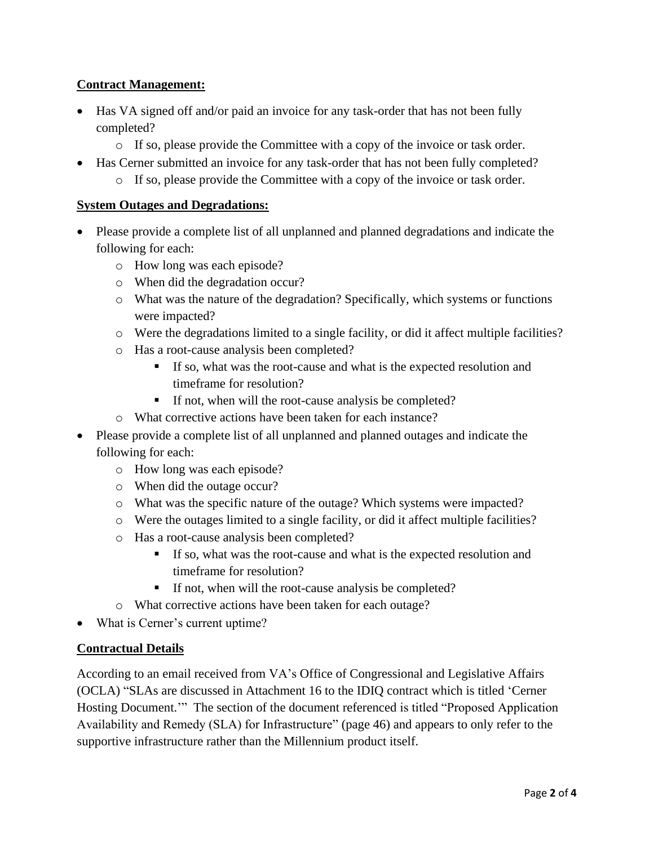## **Contract Management:**

- Has VA signed off and/or paid an invoice for any task-order that has not been fully completed?
	- $\circ$  If so, please provide the Committee with a copy of the invoice or task order.
- Has Cerner submitted an invoice for any task-order that has not been fully completed?
	- o If so, please provide the Committee with a copy of the invoice or task order.

### **System Outages and Degradations:**

- Please provide a complete list of all unplanned and planned degradations and indicate the following for each:
	- o How long was each episode?
	- o When did the degradation occur?
	- o What was the nature of the degradation? Specifically, which systems or functions were impacted?
	- o Were the degradations limited to a single facility, or did it affect multiple facilities?
	- o Has a root-cause analysis been completed?
		- If so, what was the root-cause and what is the expected resolution and timeframe for resolution?
		- If not, when will the root-cause analysis be completed?
	- o What corrective actions have been taken for each instance?
- Please provide a complete list of all unplanned and planned outages and indicate the following for each:
	- o How long was each episode?
	- o When did the outage occur?
	- o What was the specific nature of the outage? Which systems were impacted?
	- o Were the outages limited to a single facility, or did it affect multiple facilities?
	- o Has a root-cause analysis been completed?
		- If so, what was the root-cause and what is the expected resolution and timeframe for resolution?
		- If not, when will the root-cause analysis be completed?
	- o What corrective actions have been taken for each outage?
- What is Cerner's current uptime?

### **Contractual Details**

According to an email received from VA's Office of Congressional and Legislative Affairs (OCLA) "SLAs are discussed in Attachment 16 to the IDIQ contract which is titled 'Cerner Hosting Document.'" The section of the document referenced is titled "Proposed Application Availability and Remedy (SLA) for Infrastructure" (page 46) and appears to only refer to the supportive infrastructure rather than the Millennium product itself.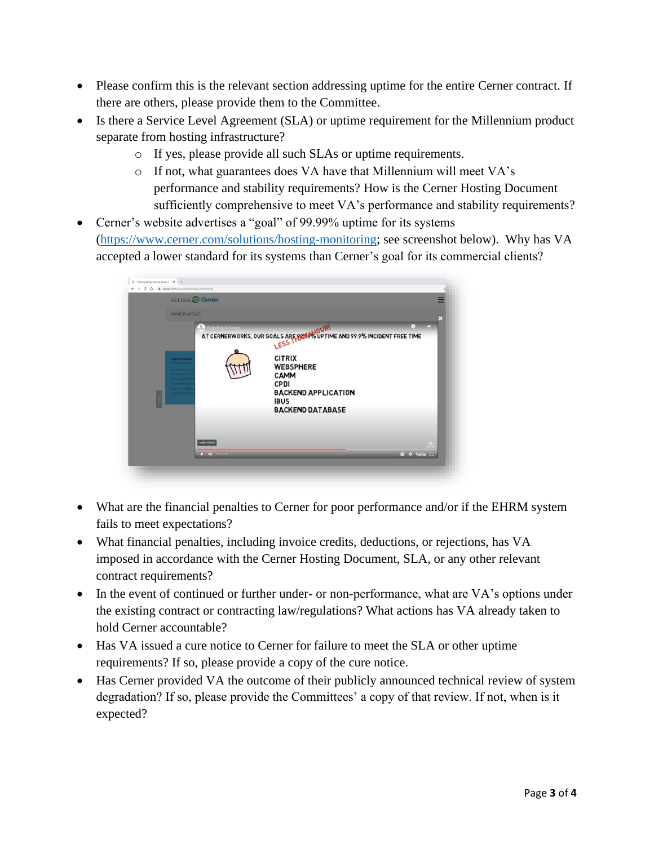- Please confirm this is the relevant section addressing uptime for the entire Cerner contract. If there are others, please provide them to the Committee.
- Is there a Service Level Agreement (SLA) or uptime requirement for the Millennium product separate from hosting infrastructure?
	- o If yes, please provide all such SLAs or uptime requirements.
	- o If not, what guarantees does VA have that Millennium will meet VA's performance and stability requirements? How is the Cerner Hosting Document sufficiently comprehensive to meet VA's performance and stability requirements?
- Cerner's website advertises a "goal" of 99.99% uptime for its systems [\(https://www.cerner.com/solutions/hosting-monitoring;](https://www.cerner.com/solutions/hosting-monitoring) see screenshot below). Why has VA accepted a lower standard for its systems than Cerner's goal for its commercial clients?



- What are the financial penalties to Cerner for poor performance and/or if the EHRM system fails to meet expectations?
- What financial penalties, including invoice credits, deductions, or rejections, has VA imposed in accordance with the Cerner Hosting Document, SLA, or any other relevant contract requirements?
- In the event of continued or further under- or non-performance, what are VA's options under the existing contract or contracting law/regulations? What actions has VA already taken to hold Cerner accountable?
- Has VA issued a cure notice to Cerner for failure to meet the SLA or other uptime requirements? If so, please provide a copy of the cure notice.
- Has Cerner provided VA the outcome of their publicly announced technical review of system degradation? If so, please provide the Committees' a copy of that review. If not, when is it expected?